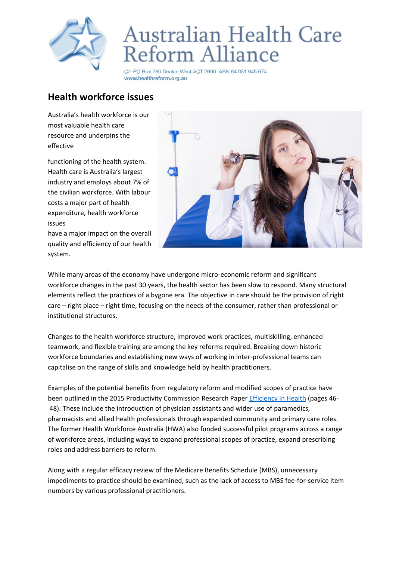

## Australian Health Care Reform Alliance

C/- PO Box 280 Deakin West ACT 2600 ABN 64 051 645 674 www.healthreform.org.au

## **Health workforce issues**

Australia's health workforce is our most valuable health care resource and underpins the effective

functioning of the health system. Health care is Australia's largest industry and employs about 7% of the civilian workforce. With labour costs a major part of health expenditure, health workforce issues

have a major impact on the overall quality and efficiency of our health system.



While many areas of the economy have undergone micro-economic reform and significant workforce changes in the past 30 years, the health sector has been slow to respond. Many structural elements reflect the practices of a bygone era. The objective in care should be the provision of right care – right place – right time, focusing on the needs of the consumer, rather than professional or institutional structures.

Changes to the health workforce structure, improved work practices, multiskilling, enhanced teamwork, and flexible training are among the key reforms required. Breaking down historic workforce boundaries and establishing new ways of working in inter-professional teams can capitalise on the range of skills and knowledge held by health practitioners.

Examples of the potential benefits from regulatory reform and modified scopes of practice have been outlined in the 2015 Productivity Commission Research Paper [Efficiency in Health](https://www.pc.gov.au/research/completed/efficiency-health) (pages 46- 48). These include the introduction of physician assistants and wider use of paramedics, pharmacists and allied health professionals through expanded community and primary care roles. The former Health Workforce Australia (HWA) also funded successful pilot programs across a range of workforce areas, including ways to expand professional scopes of practice, expand prescribing roles and address barriers to reform.

Along with a regular efficacy review of the Medicare Benefits Schedule (MBS), unnecessary impediments to practice should be examined, such as the lack of access to MBS fee-for-service item numbers by various professional practitioners.